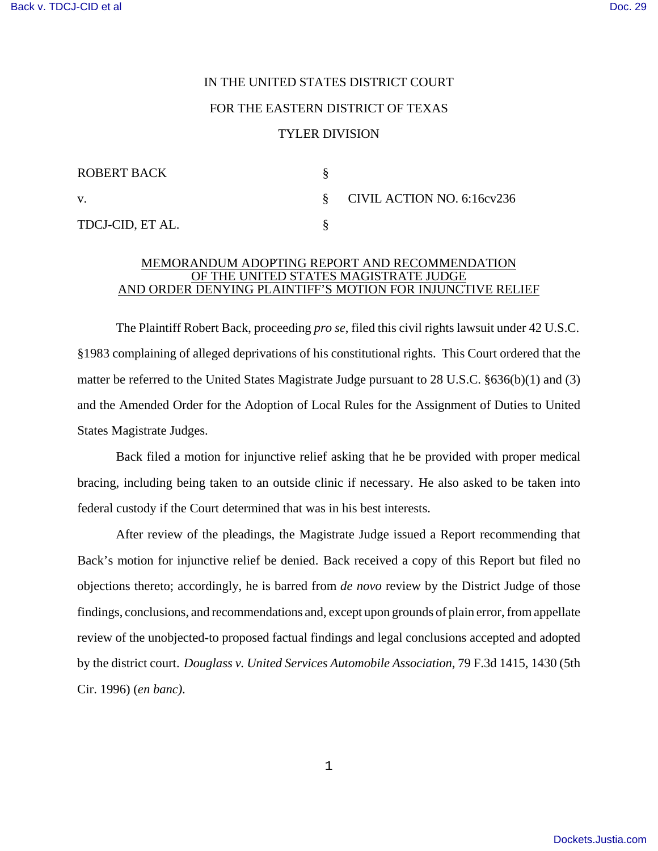## IN THE UNITED STATES DISTRICT COURT FOR THE EASTERN DISTRICT OF TEXAS TYLER DIVISION

| <b>ROBERT BACK</b> |                              |
|--------------------|------------------------------|
| V.                 | § CIVIL ACTION NO. 6:16cv236 |
| TDCJ-CID, ET AL.   |                              |

## MEMORANDUM ADOPTING REPORT AND RECOMMENDATION OF THE UNITED STATES MAGISTRATE JUDGE AND ORDER DENYING PLAINTIFF'S MOTION FOR INJUNCTIVE RELIEF

The Plaintiff Robert Back, proceeding *pro se*, filed this civil rights lawsuit under 42 U.S.C. §1983 complaining of alleged deprivations of his constitutional rights. This Court ordered that the matter be referred to the United States Magistrate Judge pursuant to 28 U.S.C. §636(b)(1) and (3) and the Amended Order for the Adoption of Local Rules for the Assignment of Duties to United States Magistrate Judges.

Back filed a motion for injunctive relief asking that he be provided with proper medical bracing, including being taken to an outside clinic if necessary. He also asked to be taken into federal custody if the Court determined that was in his best interests.

After review of the pleadings, the Magistrate Judge issued a Report recommending that Back's motion for injunctive relief be denied. Back received a copy of this Report but filed no objections thereto; accordingly, he is barred from *de novo* review by the District Judge of those findings, conclusions, and recommendations and, except upon grounds of plain error, from appellate review of the unobjected-to proposed factual findings and legal conclusions accepted and adopted by the district court. *Douglass v. United Services Automobile Association*, 79 F.3d 1415, 1430 (5th Cir. 1996) (*en banc)*.